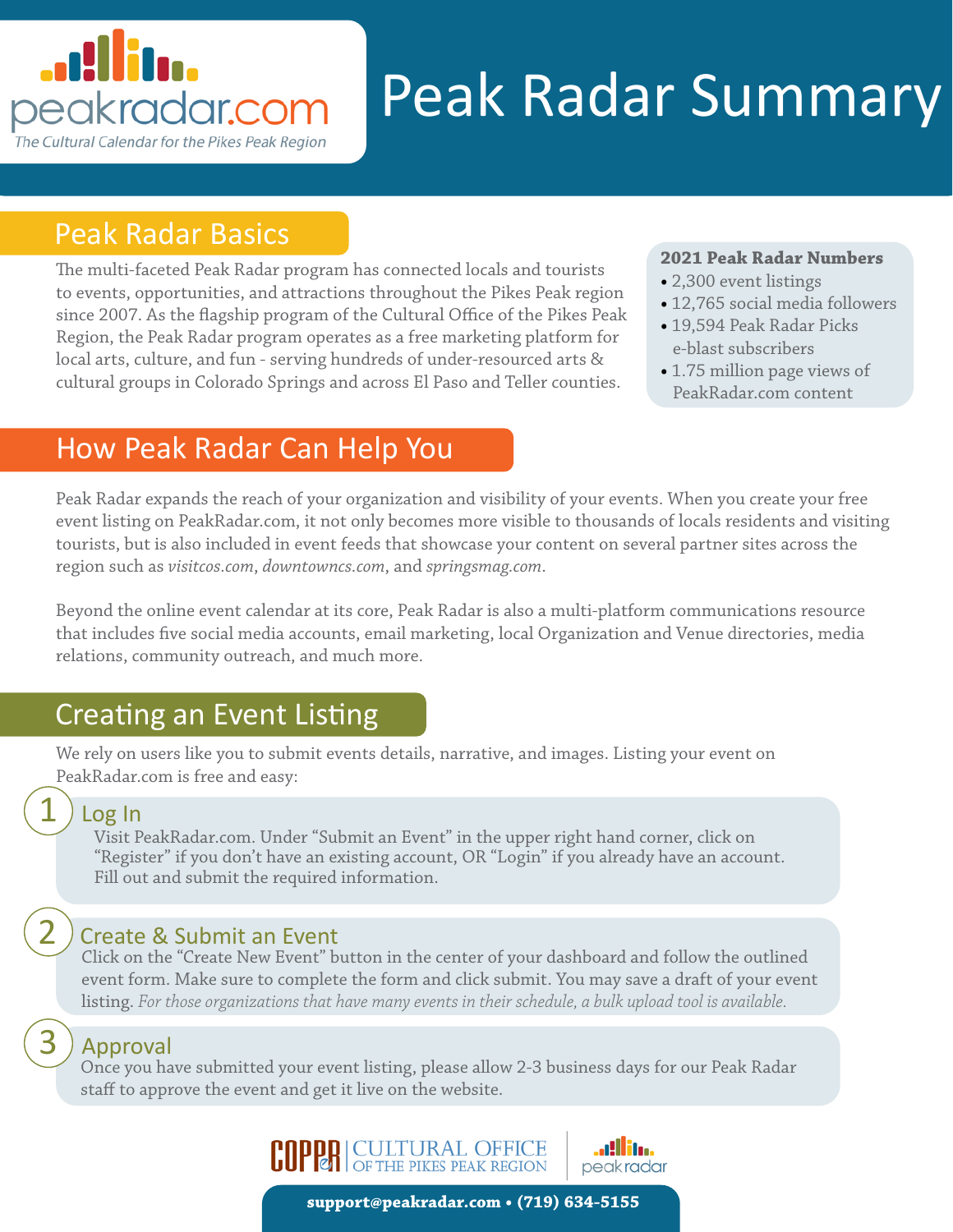# <u>. Allita</u> peakradar.com The Cultural Calendar for the Pikes Peak Region

# Peak Radar Summary

#### Peak Radar Basics

The multi-faceted Peak Radar program has connected locals and tourists to events, opportunities, and attractions throughout the Pikes Peak region since 2007. As the flagship program of the Cultural Office of the Pikes Peak Region, the Peak Radar program operates as a free marketing platform for local arts, culture, and fun - serving hundreds of under-resourced arts & cultural groups in Colorado Springs and across El Paso and Teller counties.

#### **2021 Peak Radar Numbers**

- 2,300 event listings
- 12,765 social media followers
- 19,594 Peak Radar Picks e-blast subscribers
- 1.75 million page views of PeakRadar.com content

### How Peak Radar Can Help You

Peak Radar expands the reach of your organization and visibility of your events. When you create your free event listing on PeakRadar.com, it not only becomes more visible to thousands of locals residents and visiting tourists, but is also included in event feeds that showcase your content on several partner sites across the region such as *visitcos.com*, *downtowncs.com*, and *springsmag.com*.

Beyond the online event calendar at its core, Peak Radar is also a multi-platform communications resource that includes five social media accounts, email marketing, local Organization and Venue directories, media relations, community outreach, and much more.

## Creating an Event Listing

We rely on users like you to submit events details, narrative, and images. Listing your event on PeakRadar.com is free and easy:

#### Log In

1

2

3

Visit PeakRadar.com. Under "Submit an Event" in the upper right hand corner, click on "Register" if you don't have an existing account, OR "Login" if you already have an account. Fill out and submit the required information.

#### Create & Submit an Event

Click on the "Create New Event" button in the center of your dashboard and follow the outlined event form. Make sure to complete the form and click submit. You may save a draft of your event listing. *For those organizations that have many events in their schedule, a bulk upload tool is available.* 

#### Approval

Once you have submitted your event listing, please allow 2-3 business days for our Peak Radar staff to approve the event and get it live on the website.



**support@peakradar.com • (719) 634-5155**